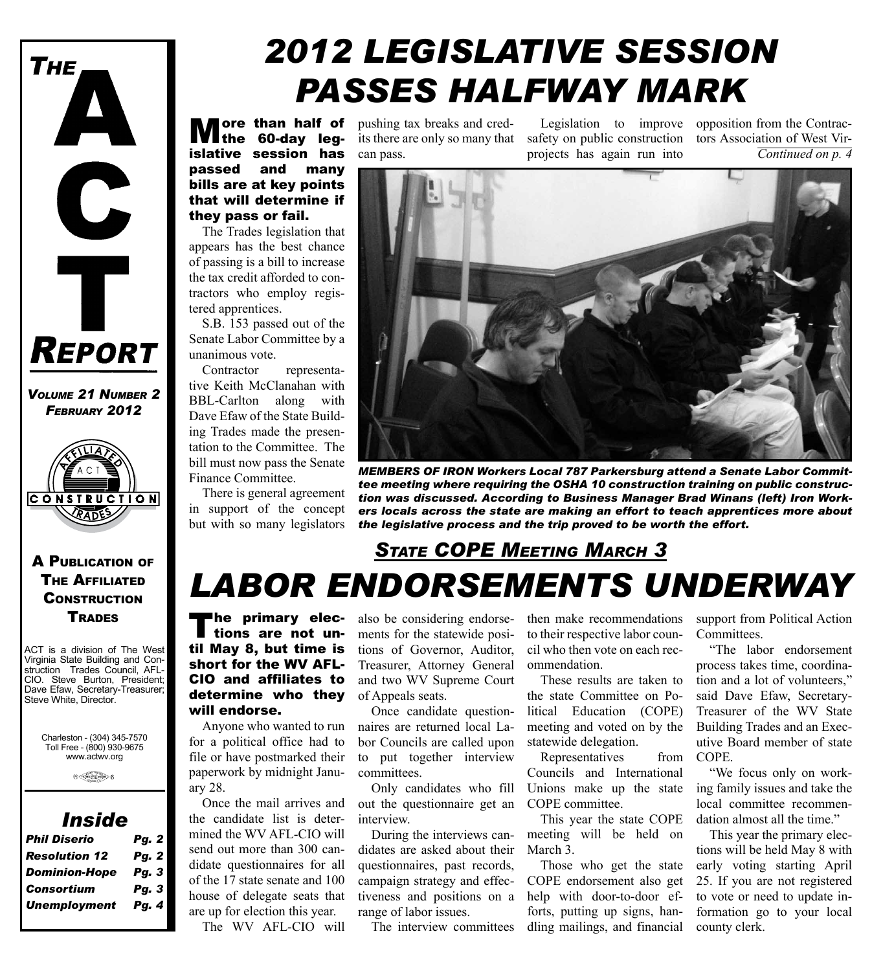

*Volume 21 Number 2 February 2012*



A Publication of The Affiliated **CONSTRUCTION TRADES** 

ACT is a division of The West Virginia State Building and Construction Trades Council, AFL-CIO. Steve Burton, President; Dave Efaw, Secretary-Treasurer; Steve White, Director.

Charleston - (304) 345-7570 Toll Free - (800) 930-9675 www.actwv.org

#### *Inside*

| <b>Phil Diserio</b>  | <b>Pg. 2</b> |
|----------------------|--------------|
| <b>Resolution 12</b> | <b>Pg. 2</b> |
| <b>Dominion-Hope</b> | Pg. 3        |
| <b>Consortium</b>    | Pg. 3        |
| <b>Unemployment</b>  | Pg. 4        |

# *2012 Legislative Session Passes Halfway Mark*

**M**ore than half of **M**the 60-day legislative session has passed and many bills are at key points that will determine if they pass or fail.

The Trades legislation that appears has the best chance of passing is a bill to increase the tax credit afforded to contractors who employ registered apprentices.

S.B. 153 passed out of the Senate Labor Committee by a unanimous vote.

Contractor representative Keith McClanahan with BBL-Carlton along with Dave Efaw of the State Building Trades made the presentation to the Committee. The bill must now pass the Senate Finance Committee.

There is general agreement in support of the concept but with so many legislators

**ore than half of** pushing tax breaks and credits there are only so many that can pass.

safety on public construction tors Association of West Virprojects has again run into

Legislation to improve opposition from the Contrac-*Continued on p. 4*



*Members of Iron Workers Local 787 Parkersburg attend a Senate Labor Committee meeting where requiring the OSHA 10 construction training on public construction was discussed. According to Business Manager Brad Winans (left) Iron Workers locals across the state are making an effort to teach apprentices more about the legislative process and the trip proved to be worth the effort.*

### *Labor Endorsements Underway State COPE Meeting March 3*

The primary elec-<br>tions are not until May 8, but time is short for the WV AFL-CIO and affiliates to determine who they will endorse.

Anyone who wanted to run for a political office had to file or have postmarked their paperwork by midnight January 28.

Once the mail arrives and the candidate list is determined the WV AFL-CIO will send out more than 300 candidate questionnaires for all of the 17 state senate and 100 house of delegate seats that are up for election this year.

The WV AFL-CIO will

also be considering endorsements for the statewide positions of Governor, Auditor, Treasurer, Attorney General and two WV Supreme Court of Appeals seats.

Once candidate questionnaires are returned local Labor Councils are called upon to put together interview committees.

Only candidates who fill out the questionnaire get an interview.

During the interviews candidates are asked about their questionnaires, past records, campaign strategy and effectiveness and positions on a range of labor issues.

The interview committees

then make recommendations to their respective labor council who then vote on each recommendation.

These results are taken to the state Committee on Political Education (COPE) meeting and voted on by the statewide delegation.

Representatives from Councils and International Unions make up the state COPE committee.

This year the state COPE meeting will be held on March 3.

Those who get the state COPE endorsement also get help with door-to-door efforts, putting up signs, handling mailings, and financial

support from Political Action Committees.

"The labor endorsement process takes time, coordination and a lot of volunteers," said Dave Efaw, Secretary-Treasurer of the WV State Building Trades and an Executive Board member of state COPE.

"We focus only on working family issues and take the local committee recommendation almost all the time."

This year the primary elections will be held May 8 with early voting starting April 25. If you are not registered to vote or need to update information go to your local county clerk.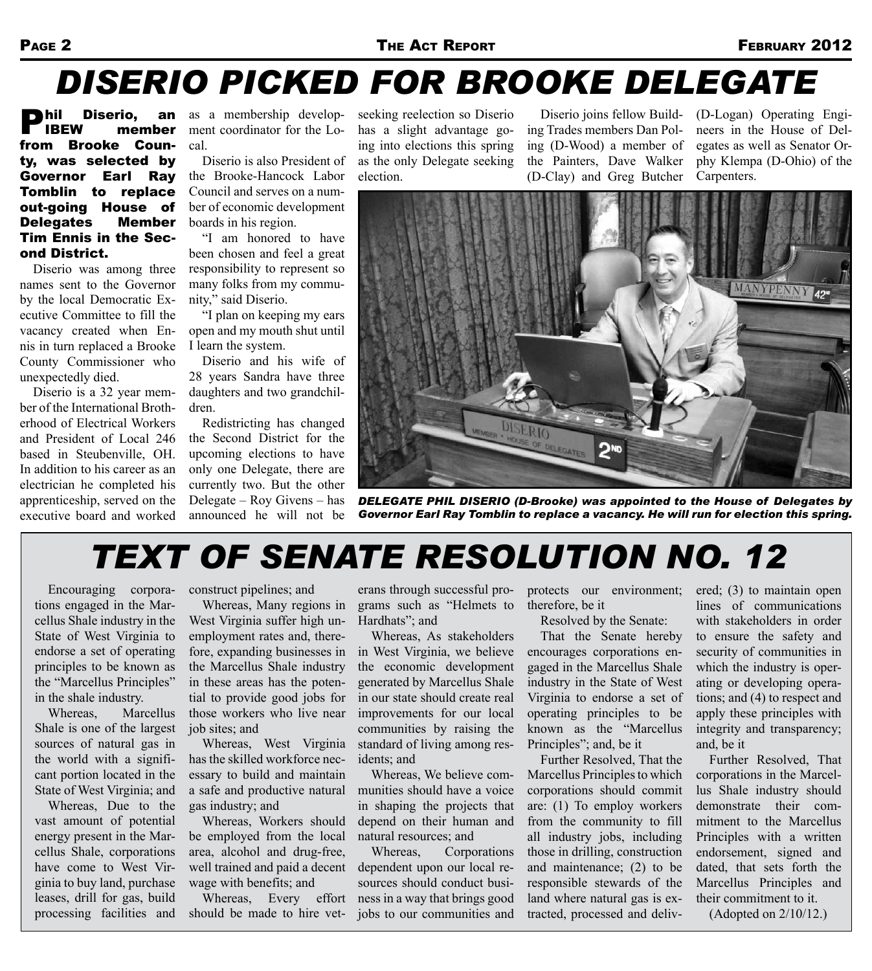# *Diserio Picked for Brooke Delegate*

**Phil Diserio, an<br>I IBEW member** member from Brooke County, was selected by Governor Earl Ray Tomblin to replace out-going House of Delegates Member Tim Ennis in the Second District.

Diserio was among three names sent to the Governor by the local Democratic Executive Committee to fill the vacancy created when Ennis in turn replaced a Brooke County Commissioner who unexpectedly died.

Diserio is a 32 year member of the International Brotherhood of Electrical Workers and President of Local 246 based in Steubenville, OH. In addition to his career as an electrician he completed his apprenticeship, served on the executive board and worked as a membership development coordinator for the Local.

Diserio is also President of the Brooke-Hancock Labor Council and serves on a number of economic development boards in his region.

"I am honored to have been chosen and feel a great responsibility to represent so many folks from my community," said Diserio.

"I plan on keeping my ears open and my mouth shut until I learn the system.

Diserio and his wife of 28 years Sandra have three daughters and two grandchildren.

Redistricting has changed the Second District for the upcoming elections to have only one Delegate, there are currently two. But the other Delegate – Roy Givens – has announced he will not be

seeking reelection so Diserio has a slight advantage going into elections this spring as the only Delegate seeking election.

Diserio joins fellow Building Trades members Dan Poling (D-Wood) a member of the Painters, Dave Walker (D-Clay) and Greg Butcher

(D-Logan) Operating Engineers in the House of Delegates as well as Senator Orphy Klempa (D-Ohio) of the Carpenters.



*Delegate Phil Diserio (D-Brooke) was appointed to the House of Delegates by Governor Earl Ray Tomblin to replace a vacancy. He will run for election this spring.*

## *Text of SENATE RESOLUTION NO. 12*

Encouraging corporations engaged in the Marcellus Shale industry in the State of West Virginia to endorse a set of operating principles to be known as the "Marcellus Principles" in the shale industry.

Whereas, Marcellus Shale is one of the largest sources of natural gas in the world with a significant portion located in the State of West Virginia; and

Whereas, Due to the vast amount of potential energy present in the Marcellus Shale, corporations have come to West Virginia to buy land, purchase leases, drill for gas, build processing facilities and construct pipelines; and

Whereas, Many regions in West Virginia suffer high unemployment rates and, therefore, expanding businesses in the Marcellus Shale industry in these areas has the potential to provide good jobs for those workers who live near job sites; and

Whereas, West Virginia has the skilled workforce necessary to build and maintain a safe and productive natural gas industry; and

Whereas, Workers should be employed from the local area, alcohol and drug-free, well trained and paid a decent wage with benefits; and

Whereas, Every effort should be made to hire veterans through successful programs such as "Helmets to Hardhats": and

Whereas, As stakeholders in West Virginia, we believe the economic development generated by Marcellus Shale in our state should create real improvements for our local communities by raising the standard of living among residents; and

Whereas, We believe communities should have a voice in shaping the projects that depend on their human and natural resources; and

Whereas, Corporations dependent upon our local resources should conduct business in a way that brings good jobs to our communities and protects our environment; therefore, be it

Resolved by the Senate:

That the Senate hereby encourages corporations engaged in the Marcellus Shale industry in the State of West Virginia to endorse a set of operating principles to be known as the "Marcellus Principles"; and, be it

Further Resolved, That the Marcellus Principles to which corporations should commit are: (1) To employ workers from the community to fill all industry jobs, including those in drilling, construction and maintenance; (2) to be responsible stewards of the land where natural gas is extracted, processed and delivered; (3) to maintain open lines of communications with stakeholders in order to ensure the safety and security of communities in which the industry is operating or developing operations; and (4) to respect and apply these principles with integrity and transparency; and, be it

Further Resolved, That corporations in the Marcellus Shale industry should demonstrate their commitment to the Marcellus Principles with a written endorsement, signed and dated, that sets forth the Marcellus Principles and their commitment to it.

(Adopted on 2/10/12.)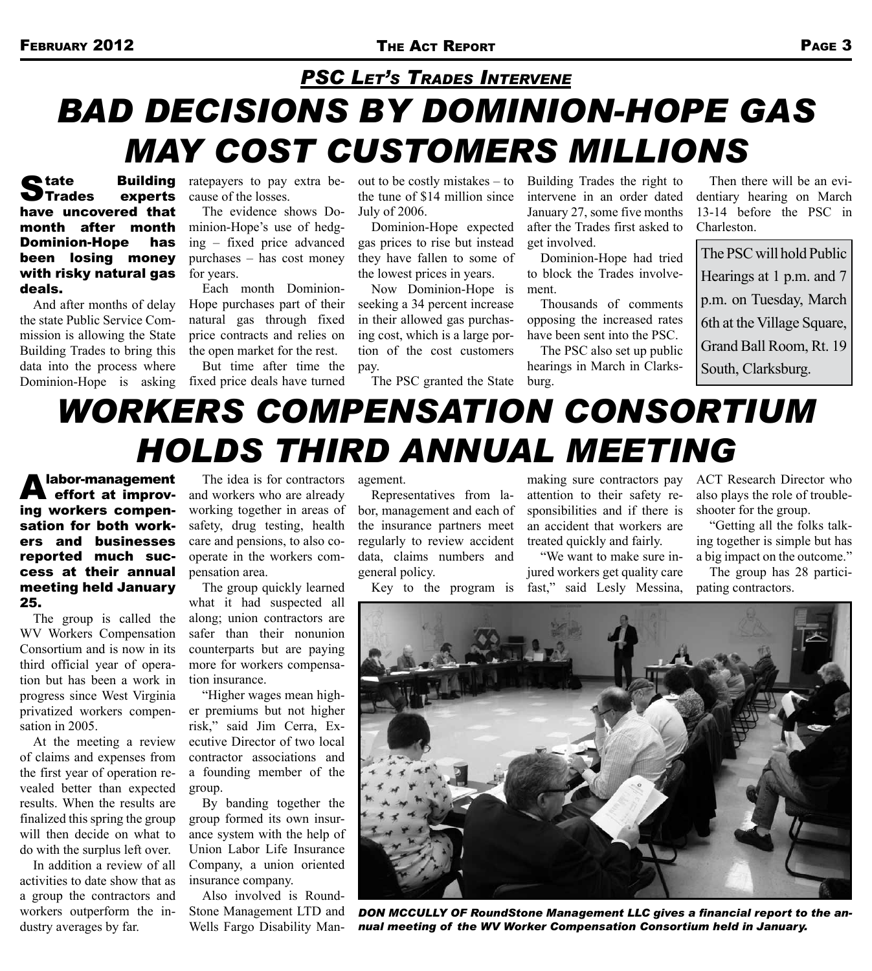### *Bad Decisions by Dominion-Hope Gas May Cost Customers Millions PSC Let's Trades Intervene*

State Building ratepayers to pay extra be-<br>
Strades experts cause of the losses. Trades experts have uncovered that month after month Dominion-Hope has been losing money with risky natural gas deals.

And after months of delay the state Public Service Commission is allowing the State Building Trades to bring this data into the process where

cause of the losses.

The evidence shows Dominion-Hope's use of hedging – fixed price advanced purchases – has cost money for years.

Each month Dominion-Hope purchases part of their natural gas through fixed price contracts and relies on the open market for the rest.

Dominion-Hope is asking fixed price deals have turned But time after time the

out to be costly mistakes – to Building Trades the right to the tune of \$14 million since July of 2006.

Dominion-Hope expected gas prices to rise but instead they have fallen to some of the lowest prices in years.

Now Dominion-Hope is seeking a 34 percent increase in their allowed gas purchasing cost, which is a large portion of the cost customers pay.

The PSC granted the State

intervene in an order dated January 27, some five months after the Trades first asked to get involved.

Dominion-Hope had tried to block the Trades involvement.

Thousands of comments opposing the increased rates have been sent into the PSC.

The PSC also set up public hearings in March in Clarksburg.

Then there will be an evidentiary hearing on March 13-14 before the PSC in Charleston.

The PSC will hold Public Hearings at 1 p.m. and 7 p.m. on Tuesday, March 6th at the Village Square, Grand Ball Room, Rt. 19 South, Clarksburg.

## *Workers Compensation Consortium Holds third Annual Meeting*

A labor-management<br>
effort at improving workers compensation for both workers and businesses reported much success at their annual meeting held January 25.

The group is called the WV Workers Compensation Consortium and is now in its third official year of operation but has been a work in progress since West Virginia privatized workers compensation in 2005.

At the meeting a review of claims and expenses from the first year of operation revealed better than expected results. When the results are finalized this spring the group will then decide on what to do with the surplus left over.

In addition a review of all activities to date show that as a group the contractors and workers outperform the industry averages by far.

The idea is for contractors and workers who are already working together in areas of safety, drug testing, health care and pensions, to also cooperate in the workers compensation area.

The group quickly learned what it had suspected all along; union contractors are safer than their nonunion counterparts but are paying more for workers compensation insurance.

"Higher wages mean higher premiums but not higher risk," said Jim Cerra, Executive Director of two local contractor associations and a founding member of the group.

By banding together the group formed its own insurance system with the help of Union Labor Life Insurance Company, a union oriented insurance company.

Also involved is Round-Stone Management LTD and Wells Fargo Disability Man-

agement.

Representatives from labor, management and each of the insurance partners meet regularly to review accident data, claims numbers and general policy.

making sure contractors pay attention to their safety responsibilities and if there is an accident that workers are treated quickly and fairly.

Key to the program is fast," said Lesly Messina, "We want to make sure injured workers get quality care

ACT Research Director who also plays the role of troubleshooter for the group.

"Getting all the folks talking together is simple but has a big impact on the outcome."

The group has 28 participating contractors.



*Don McCully of RoundStone Management LLC gives a financial report to the annual meeting of the WV Worker Compensation Consortium held in January.*